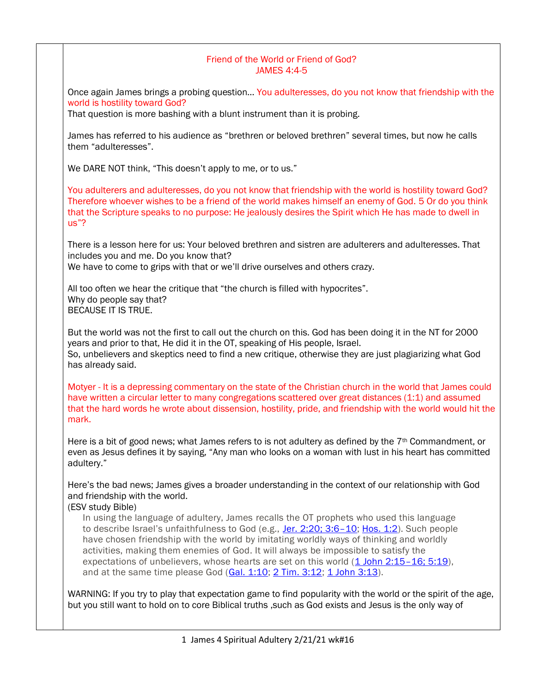## Friend of the World or Friend of God? JAMES 4:4-5

Once again James brings a probing question… You adulteresses, do you not know that friendship with the world is hostility toward God?

That question is more bashing with a blunt instrument than it is probing.

James has referred to his audience as "brethren or beloved brethren" several times, but now he calls them "adulteresses".

We DARE NOT think, "This doesn't apply to me, or to us."

You adulterers and adulteresses, do you not know that friendship with the world is hostility toward God? Therefore whoever wishes to be a friend of the world makes himself an enemy of God. 5 Or do you think that the Scripture speaks to no purpose: He jealously desires the Spirit which He has made to dwell in us"?

There is a lesson here for us: Your beloved brethren and sistren are adulterers and adulteresses. That includes you and me. Do you know that?

We have to come to grips with that or we'll drive ourselves and others crazy.

All too often we hear the critique that "the church is filled with hypocrites". Why do people say that? BECAUSE IT IS TRUE.

But the world was not the first to call out the church on this. God has been doing it in the NT for 2000 years and prior to that, He did it in the OT, speaking of His people, Israel. So, unbelievers and skeptics need to find a new critique, otherwise they are just plagiarizing what God has already said.

Motyer - It is a depressing commentary on the state of the Christian church in the world that James could have written a circular letter to many congregations scattered over great distances (1:1) and assumed that the hard words he wrote about dissension, hostility, pride, and friendship with the world would hit the mark.

Here is a bit of good news; what James refers to is not adultery as defined by the  $7<sup>th</sup>$  Commandment, or even as Jesus defines it by saying, "Any man who looks on a woman with lust in his heart has committed adultery."

Here's the bad news; James gives a broader understanding in the context of our relationship with God and friendship with the world.

(ESV study Bible)

In using the language of adultery, James recalls the OT prophets who used this language to describe Israel's unfaithfulness to God (e.g., [Jer. 2:20; 3:6](https://www.esv.org/Jeremiah+2%3A20%3B+Jeremiah+3%3A6%E2%80%9310/)-10; [Hos. 1:2\)](https://www.esv.org/Hosea+1%3A2/). Such people have chosen friendship with the world by imitating worldly ways of thinking and worldly activities, making them enemies of God. It will always be impossible to satisfy the expectations of unbelievers, whose hearts are set on this world [\(1 John 2:15](https://www.esv.org/1+John+2%3A15%E2%80%9316%3B+1+John+5%3A19/)-16; 5:19). and at the same time please God [\(Gal. 1:10;](https://www.esv.org/Galatians+1%3A10/) [2 Tim. 3:12;](https://www.esv.org/2+Timothy+3%3A12/) [1 John 3:13\)](https://www.esv.org/1+John+3%3A13/).

WARNING: If you try to play that expectation game to find popularity with the world or the spirit of the age, but you still want to hold on to core Biblical truths ,such as God exists and Jesus is the only way of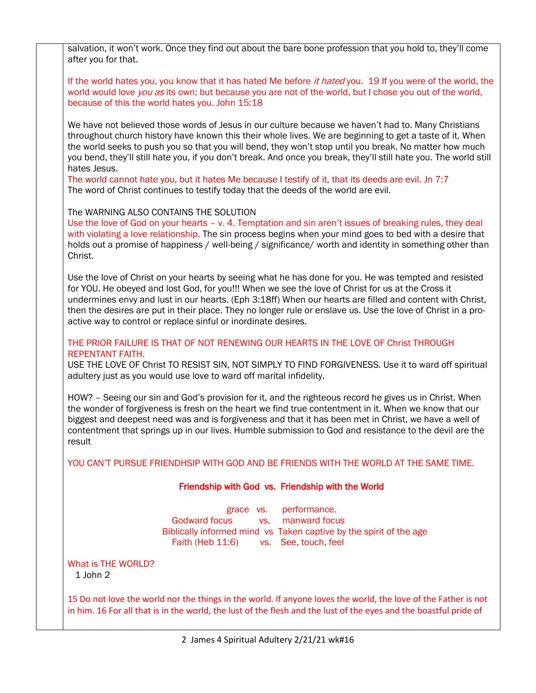salvation, it won't work. Once they find out about the bare bone profession that you hold to, they'll come after you for that.

If the world hates you, you know that it has hated Me before it hated you. 19 If you were of the world, the world would love *you as* its own; but because you are not of the world, but I chose you out of the world, because of this the world hates you. John 15:18

We have not believed those words of Jesus in our culture because we haven't had to. Many Christians throughout church history have known this their whole lives. We are beginning to get a taste of it. When the world seeks to push you so that you will bend, they won't stop until you break. No matter how much you bend, they'll still hate you, if you don't break. And once you break, they'll still hate you. The world still hates Jesus.

The world cannot hate you, but it hates Me because I testify of it, that its deeds are evil. Jn 7:7 The word of Christ continues to testify today that the deeds of the world are evil.

The WARNING ALSO CONTAINS THE SOLUTION

Use the love of God on your hearts – v. 4. Temptation and sin aren't issues of breaking rules, they deal with violating a love relationship. The sin process begins when your mind goes to bed with a desire that holds out a promise of happiness / well-being / significance/ worth and identity in something other than Christ.

Use the love of Christ on your hearts by seeing what he has done for you. He was tempted and resisted for YOU. He obeyed and lost God, for you!!! When we see the love of Christ for us at the Cross it undermines envy and lust in our hearts. (Eph 3:18ff) When our hearts are filled and content with Christ, then the desires are put in their place. They no longer rule or enslave us. Use the love of Christ in a proactive way to control or replace sinful or inordinate desires.

### THE PRIOR FAILURE IS THAT OF NOT RENEWING OUR HEARTS IN THE LOVE OF Christ THROUGH REPENTANT FAITH.

USE THE LOVE OF Christ TO RESIST SIN, NOT SIMPLY TO FIND FORGIVENESS. Use it to ward off spiritual adultery just as you would use love to ward off marital infidelity.

HOW? – Seeing our sin and God's provision for it, and the righteous record he gives us in Christ. When the wonder of forgiveness is fresh on the heart we find true contentment in it. When we know that our biggest and deepest need was and is forgiveness and that it has been met in Christ, we have a well of contentment that springs up in our lives. Humble submission to God and resistance to the devil are the result

YOU CAN'T PURSUE FRIENDHSIP WITH GOD AND BE FRIENDS WITH THE WORLD AT THE SAME TIME.

### Friendship with God vs. Friendship with the World

grace vs. performance. Godward focus vs. manward focus Biblically informed mind vs Taken captive by the spirit of the age Faith (Heb 11:6) vs. See, touch, feel

#### What is THE WORLD? 1 John 2

15 Do not love the world nor the things in the world. If anyone loves the world, the love of the Father is not in him. 16 For all that is in the world, the lust of the flesh and the lust of the eyes and the boastful pride of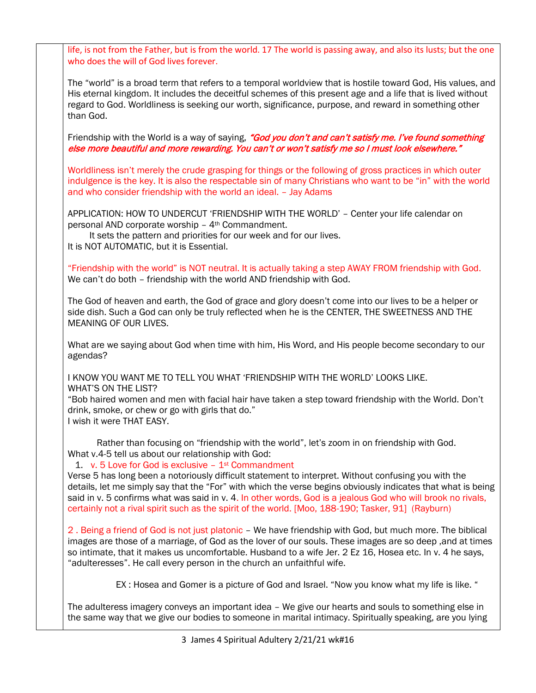life, is not from the Father, but is from the world. 17 The world is passing away, and also its lusts; but the one who does the will of God lives forever.

The "world" is a broad term that refers to a temporal worldview that is hostile toward God, His values, and His eternal kingdom. It includes the deceitful schemes of this present age and a life that is lived without regard to God. Worldliness is seeking our worth, significance, purpose, and reward in something other than God.

Friendship with the World is a way of saying, "God you don't and can't satisfy me. I've found something else more beautiful and more rewarding. You can't or won't satisfy me so I must look elsewhere."

Worldliness isn't merely the crude grasping for things or the following of gross practices in which outer indulgence is the key. It is also the respectable sin of many Christians who want to be "in" with the world and who consider friendship with the world an ideal. – Jay Adams

APPLICATION: HOW TO UNDERCUT 'FRIENDSHIP WITH THE WORLD' – Center your life calendar on personal AND corporate worship - 4<sup>th</sup> Commandment.

 It sets the pattern and priorities for our week and for our lives. It is NOT AUTOMATIC, but it is Essential.

"Friendship with the world" is NOT neutral. It is actually taking a step AWAY FROM friendship with God. We can't do both – friendship with the world AND friendship with God.

The God of heaven and earth, the God of grace and glory doesn't come into our lives to be a helper or side dish. Such a God can only be truly reflected when he is the CENTER, THE SWEETNESS AND THE MEANING OF OUR LIVES.

What are we saying about God when time with him, His Word, and His people become secondary to our agendas?

I KNOW YOU WANT ME TO TELL YOU WHAT 'FRIENDSHIP WITH THE WORLD' LOOKS LIKE. WHAT'S ON THE LIST?

"Bob haired women and men with facial hair have taken a step toward friendship with the World. Don't drink, smoke, or chew or go with girls that do." I wish it were THAT EASY.

 Rather than focusing on "friendship with the world", let's zoom in on friendship with God. What v.4-5 tell us about our relationship with God:

# 1. v. 5 Love for God is exclusive – 1st Commandment

Verse 5 has long been a notoriously difficult statement to interpret. Without confusing you with the details, let me simply say that the "For" with which the verse begins obviously indicates that what is being said in v. 5 confirms what was said in v. 4. In other words, God is a jealous God who will brook no rivals, certainly not a rival spirit such as the spirit of the world. [Moo, 188-190; Tasker, 91] (Rayburn)

2 . Being a friend of God is not just platonic – We have friendship with God, but much more. The biblical images are those of a marriage, of God as the lover of our souls. These images are so deep ,and at times so intimate, that it makes us uncomfortable. Husband to a wife Jer. 2 Ez 16, Hosea etc. In v. 4 he says, "adulteresses". He call every person in the church an unfaithful wife.

EX : Hosea and Gomer is a picture of God and Israel. "Now you know what my life is like. "

The adulteress imagery conveys an important idea – We give our hearts and souls to something else in the same way that we give our bodies to someone in marital intimacy. Spiritually speaking, are you lying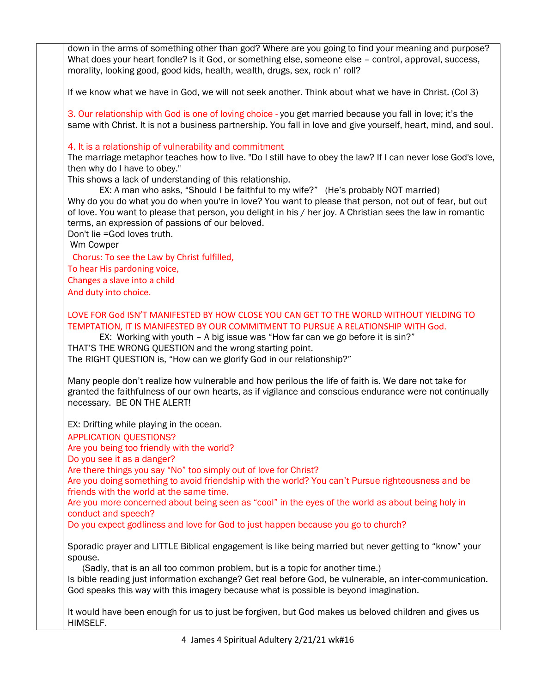down in the arms of something other than god? Where are you going to find your meaning and purpose? What does your heart fondle? Is it God, or something else, someone else – control, approval, success, morality, looking good, good kids, health, wealth, drugs, sex, rock n' roll? If we know what we have in God, we will not seek another. Think about what we have in Christ. (Col 3) 3. Our relationship with God is one of loving choice - you get married because you fall in love; it's the same with Christ. It is not a business partnership. You fall in love and give yourself, heart, mind, and soul. 4. It is a relationship of vulnerability and commitment The marriage metaphor teaches how to live. "Do I still have to obey the law? If I can never lose God's love, then why do I have to obey." This shows a lack of understanding of this relationship. EX: A man who asks, "Should I be faithful to my wife?" (He's probably NOT married) Why do you do what you do when you're in love? You want to please that person, not out of fear, but out of love. You want to please that person, you delight in his / her joy. A Christian sees the law in romantic terms, an expression of passions of our beloved. Don't lie =God loves truth. Wm Cowper Chorus: To see the Law by Christ fulfilled, To hear His pardoning voice, Changes a slave into a child And duty into choice. LOVE FOR God ISN'T MANIFESTED BY HOW CLOSE YOU CAN GET TO THE WORLD WITHOUT YIELDING TO TEMPTATION, IT IS MANIFESTED BY OUR COMMITMENT TO PURSUE A RELATIONSHIP WITH God. EX: Working with youth – A big issue was "How far can we go before it is sin?" THAT'S THE WRONG QUESTION and the wrong starting point. The RIGHT QUESTION is, "How can we glorify God in our relationship?" Many people don't realize how vulnerable and how perilous the life of faith is. We dare not take for granted the faithfulness of our own hearts, as if vigilance and conscious endurance were not continually necessary. BE ON THE ALERT! EX: Drifting while playing in the ocean. APPLICATION QUESTIONS? Are you being too friendly with the world? Do you see it as a danger? Are there things you say "No" too simply out of love for Christ? Are you doing something to avoid friendship with the world? You can't Pursue righteousness and be friends with the world at the same time. Are you more concerned about being seen as "cool" in the eyes of the world as about being holy in conduct and speech? Do you expect godliness and love for God to just happen because you go to church? Sporadic prayer and LITTLE Biblical engagement is like being married but never getting to "know" your spouse. (Sadly, that is an all too common problem, but is a topic for another time.) Is bible reading just information exchange? Get real before God, be vulnerable, an inter-communication. God speaks this way with this imagery because what is possible is beyond imagination. It would have been enough for us to just be forgiven, but God makes us beloved children and gives us HIMSELF.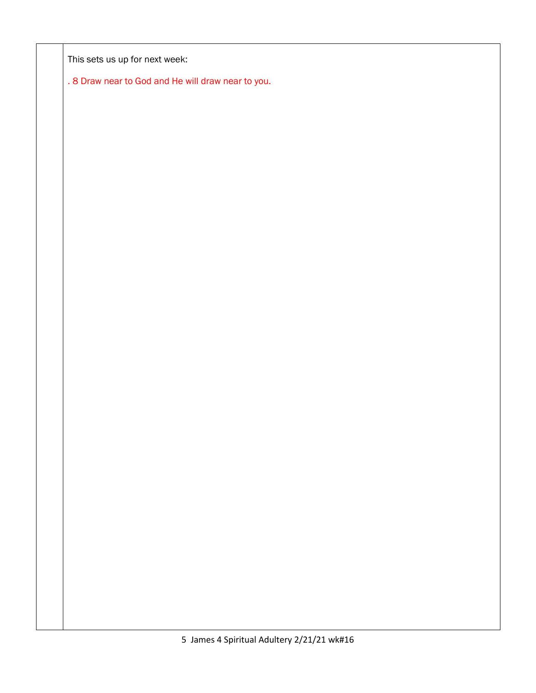This sets us up for next week:

. 8 Draw near to God and He will draw near to you.